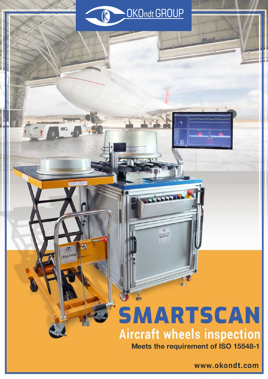

# **SMARTSCAN Aircraft wheels inspection**

SMARTSCAN-FAT

J,

M

 $\sigma$ ifting Trolley

**Meets the requirement of ISO 15548-1**

www.okondt.com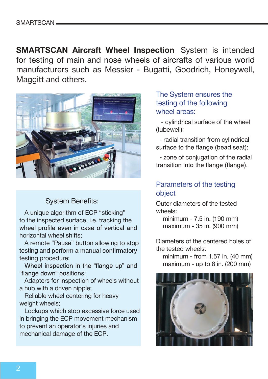**SMARTSCAN Aircraft Wheel Inspection** System is intended for testing of main and nose wheels of aircrafts of various world manufacturers such as Messier - Bugatti, Goodrich, Honeywell, Maggitt and others.



#### System Benefits:

A unique algorithm of ECP "sticking" to the inspected surface, i.e. tracking the wheel profile even in case of vertical and horizontal wheel shifts;

A remote "Pause" button allowing to stop testing and perform a manual confirmatory testing procedure;

Wheel inspection in the "flange up" and "flange down" positions:

Adapters for inspection of wheels without a hub with a driven nipple;

Reliable wheel centering for heavy weight wheels;

Lockups which stop excessive force used in bringing the ECP movement mechanism to prevent an operator's injuries and mechanical damage of the ECP.

#### The System ensures the testing of the following wheel areas:

 - cylindrical surface of the wheel (tubewell);

 - radial transition from cylindrical surface to the flange (bead seat);

 - zone of conjugation of the radial transition into the flange (flange).

#### Parameters of the testing object

Outer diameters of the tested wheels:

 minimum - 7.5 in. (190 mm) maximum - 35 in. (900 mm)

Diameters of the centered holes of the tested wheels:

 minimum - from 1.57 in. (40 mm) maximum - up to 8 in. (200 mm)

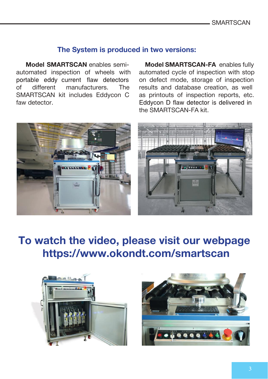#### **The System is produced in two versions:**

**Model SMARTSCAN** enables semiautomated inspection of wheels with portable eddy current flaw detectors of different manufacturers. The SMARTSCAN kit includes Eddycon C faw detector.

 **Model SMARTSCAN-FA** enables fully automated cycle of inspection with stop on defect mode, storage of inspection results and database creation, as well as printouts of inspection reports, etc. Eddycon D flaw detector is delivered in the SMARTSCAN-FA kit.



## **To watch the video, please visit our webpage https://www.okondt.com/smartscan**